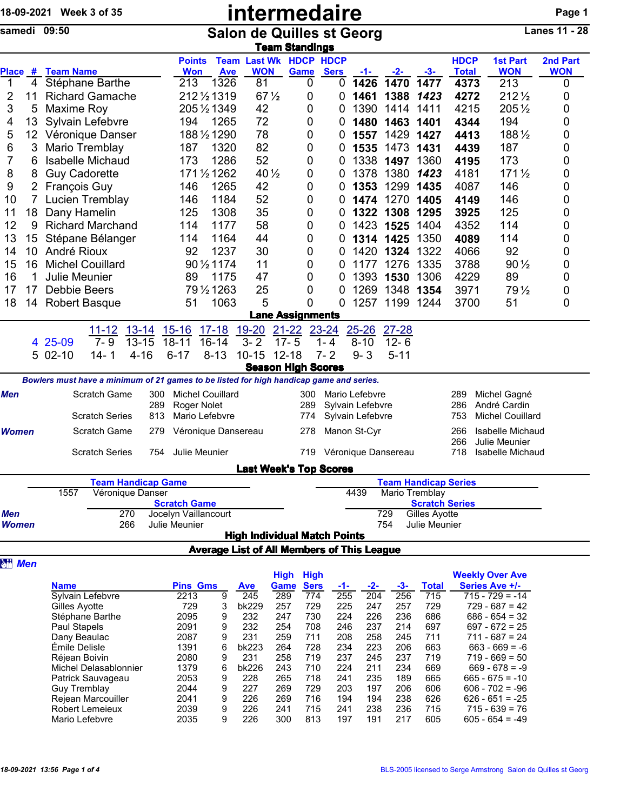| 18-09-2021 Week 3 of 35 |    |                         |                                                                                         |            | intermedaire                                |                         |                                                   |                         |             |                                      |           |                                               | Page 1       |                                         |            |
|-------------------------|----|-------------------------|-----------------------------------------------------------------------------------------|------------|---------------------------------------------|-------------------------|---------------------------------------------------|-------------------------|-------------|--------------------------------------|-----------|-----------------------------------------------|--------------|-----------------------------------------|------------|
|                         |    | samedi 09:50            |                                                                                         |            | <b>Salon de Quilles st Georg</b>            | <b>Team Standings</b>   |                                                   | <b>Lanes 11 - 28</b>    |             |                                      |           |                                               |              |                                         |            |
|                         |    |                         |                                                                                         |            | <b>Points</b>                               |                         | <b>Team Last Wk HDCP HDCP</b>                     |                         |             |                                      |           |                                               | <b>HDCP</b>  | <b>1st Part</b>                         | 2nd Part   |
|                         |    | Place # Team Name       |                                                                                         |            | <b>Won</b>                                  | <b>Ave</b>              | <b>WON</b>                                        | Game                    | <b>Sers</b> | -1-                                  | -2-       | $-3-$                                         | <b>Total</b> | <b>WON</b>                              | <b>WON</b> |
| $\overline{1}$          | 4  |                         | Stéphane Barthe                                                                         |            | 213                                         | 1326                    | 81                                                | 0                       | 0           | 1426                                 | 1470      | 1477                                          | 4373         | 213                                     | 0          |
| 2                       | 11 |                         | <b>Richard Gamache</b>                                                                  |            |                                             | 212 1/2 1319            | $67\frac{1}{2}$                                   | 0                       | 0           | 1461                                 | 1388      | 1423                                          | 4272         | $212\frac{1}{2}$                        | 0          |
| 3                       | 5  | Maxime Roy              |                                                                                         |            |                                             | 205 1/2 1349            | 42                                                | 0                       | 0           | 1390                                 | 1414      | 1411                                          | 4215         | 205 1/2                                 | 0          |
| 4                       | 13 |                         | Sylvain Lefebvre                                                                        |            | 194                                         | 1265                    | 72                                                | 0                       | 0           | 1480                                 | 1463      | 1401                                          | 4344         | 194                                     | 0          |
| 5                       | 12 |                         | Véronique Danser                                                                        |            |                                             | 188 1/2 1290            | 78                                                | 0                       | 0           | 1557                                 | 1429      | 1427                                          | 4413         | 188 1/2                                 | 0          |
| 6                       | 3  | Mario Tremblay          |                                                                                         |            | 187                                         | 1320                    | 82                                                | 0                       | 0           | 1535                                 | 1473      | 1431                                          | 4439         | 187                                     | 0          |
| 7                       | 6  |                         | <b>Isabelle Michaud</b>                                                                 |            | 173                                         | 1286                    | 52                                                | 0                       | 0           | 1338                                 | 1497      | 1360                                          | 4195         | 173                                     | 0          |
| 8                       | 8  | <b>Guy Cadorette</b>    |                                                                                         |            |                                             | 171 1/2 1262            | 40 $\frac{1}{2}$                                  | 0                       | 0           | 1378                                 | 1380      | 1423                                          | 4181         | $171\frac{1}{2}$                        | 0          |
| 9                       | 2  | <b>François Guy</b>     |                                                                                         |            | 146                                         | 1265                    | 42                                                | 0                       | 0           | 1353                                 | 1299      | 1435                                          | 4087         | 146                                     | 0          |
| 10                      | 7  |                         | Lucien Tremblay                                                                         |            | 146                                         | 1184                    | 52                                                | 0                       | 0           | 1474                                 | 1270      | 1405                                          | 4149         | 146                                     | 0          |
| 11                      | 18 | Dany Hamelin            |                                                                                         |            | 125                                         | 1308                    | 35                                                | 0                       | 0           | 1322                                 | 1308      | 1295                                          | 3925         | 125                                     | 0          |
| 12                      | 9  |                         | <b>Richard Marchand</b>                                                                 |            | 114                                         | 1177                    | 58                                                | 0                       | 0           | 1423                                 | 1525      | 1404                                          | 4352         | 114                                     | 0          |
| 13                      | 15 |                         | Stépane Bélanger                                                                        |            | 114                                         | 1164                    | 44                                                | 0                       | 0           | 1314                                 | 1425      | 1350                                          | 4089         | 114                                     | 0          |
| 14                      | 10 | André Rioux             |                                                                                         |            | 92                                          | 1237                    | 30                                                | 0                       | 0           | 1420                                 | 1324      | 1322                                          | 4066         | 92                                      | 0          |
| 15                      | 16 | <b>Michel Couillard</b> |                                                                                         |            |                                             | 90 1/2 1174             | 11                                                | 0                       | 0           | 1177                                 | 1276      | 1335                                          | 3788         | $90\frac{1}{2}$                         | 0          |
| 16                      | 1  | <b>Julie Meunier</b>    |                                                                                         |            | 89                                          | 1175                    | 47                                                | 0                       | 0           | 1393                                 | 1530      | 1306                                          | 4229         | 89                                      | 0          |
| 17                      | 17 | Debbie Beers            |                                                                                         |            |                                             | 79 1/2 1263             | 25                                                | 0                       | 0           | 1269                                 | 1348      | 1354                                          | 3971         | 79 $\frac{1}{2}$                        | 0          |
| 18                      | 14 | <b>Robert Basque</b>    |                                                                                         |            | 51                                          | 1063                    | 5                                                 | 0                       | 0           | 1257                                 | 1199      | 1244                                          | 3700         | 51                                      | 0          |
|                         |    |                         |                                                                                         |            |                                             |                         |                                                   | <b>Lane Assignments</b> |             |                                      |           |                                               |              |                                         |            |
|                         |    |                         | $13 - 14$<br><u> 11-12</u>                                                              |            | $15 - 16$                                   | $17 - 18$               | 19-20                                             | $21 - 22$               | 23-24       | $25 - 26$                            | $27 - 28$ |                                               |              |                                         |            |
|                         |    | 4 25-09                 | $7 - 9$<br>$13 - 15$                                                                    |            | $18 - 11$                                   | $16 - 14$               | $3 - 2$                                           | $17 - 5$                | $1 - 4$     | $8 - 10$                             | $12 - 6$  |                                               |              |                                         |            |
|                         |    | 5 02-10                 | $4 - 16$<br>$14 -$<br>1                                                                 |            | $6 - 17$                                    | $8 - 13$                | 10-15 12-18                                       |                         | $7 - 2$     | $9 - 3$                              | $5 - 11$  |                                               |              |                                         |            |
|                         |    |                         |                                                                                         |            |                                             |                         | <b>Season High Scores</b>                         |                         |             |                                      |           |                                               |              |                                         |            |
|                         |    |                         | Bowlers must have a minimum of 21 games to be listed for high handicap game and series. |            |                                             |                         |                                                   |                         |             |                                      |           |                                               |              |                                         |            |
| Men                     |    |                         | Scratch Game                                                                            | 300        |                                             | <b>Michel Couillard</b> |                                                   | 300                     |             | Mario Lefebvre                       |           |                                               | 289          | Michel Gagné                            |            |
|                         |    |                         | <b>Scratch Series</b>                                                                   | 289<br>813 | Roger Nolet                                 | Mario Lefebvre          |                                                   | 289<br>774              |             | Sylvain Lefebvre<br>Sylvain Lefebvre |           |                                               | 286<br>753   | André Cardin<br><b>Michel Couillard</b> |            |
| <b>Women</b>            |    |                         | Scratch Game                                                                            | 279        |                                             | Véronique Dansereau     |                                                   | 278                     |             | Manon St-Cyr                         |           |                                               | 266          | Isabelle Michaud                        |            |
|                         |    |                         |                                                                                         |            |                                             |                         |                                                   |                         |             |                                      |           |                                               | 266          | Julie Meunier                           |            |
|                         |    |                         | <b>Scratch Series</b>                                                                   | 754        | Julie Meunier                               |                         |                                                   | 719                     |             | Véronique Dansereau                  |           |                                               | 718          | <b>Isabelle Michaud</b>                 |            |
|                         |    |                         |                                                                                         |            |                                             |                         | <b>Last Week's Top Scores</b>                     |                         |             |                                      |           |                                               |              |                                         |            |
|                         |    |                         | <b>Team Handicap Game</b>                                                               |            |                                             |                         |                                                   |                         |             |                                      |           | <b>Team Handicap Series</b>                   |              |                                         |            |
|                         |    | 1557                    | Véronique Danser                                                                        |            |                                             |                         |                                                   |                         |             | 4439                                 |           | Mario Tremblay                                |              |                                         |            |
| Men                     |    |                         | 270                                                                                     |            | <b>Scratch Game</b><br>Jocelyn Vaillancourt |                         |                                                   |                         |             |                                      | 729       | <b>Scratch Series</b><br><b>Gilles Ayotte</b> |              |                                         |            |
| <b>Women</b>            |    |                         | 266                                                                                     |            | Julie Meunier                               |                         |                                                   |                         |             |                                      | 754       | Julie Meunier                                 |              |                                         |            |
|                         |    |                         |                                                                                         |            |                                             |                         | <b>High Individual Match Points</b>               |                         |             |                                      |           |                                               |              |                                         |            |
|                         |    |                         |                                                                                         |            |                                             |                         | <b>Average List of All Members of This League</b> |                         |             |                                      |           |                                               |              |                                         |            |
| <b>Att Men</b>          |    |                         |                                                                                         |            |                                             |                         |                                                   |                         |             |                                      |           |                                               |              |                                         |            |

|                       |                 |   |            | <b>High</b> | <b>High</b> |     |     |     |              | <b>Weekly Over Ave</b> |
|-----------------------|-----------------|---|------------|-------------|-------------|-----|-----|-----|--------------|------------------------|
| <b>Name</b>           | <b>Pins Gms</b> |   | <b>Ave</b> | Game        | <b>Sers</b> | -1- | -2- | -3- | <b>Total</b> | Series Ave +/-         |
| Sylvain Lefebvre      | 2213            | 9 | 245        | 289         | 774         | 255 | 204 | 256 | 715          | $715 - 729 = -14$      |
| Gilles Ayotte         | 729             | 3 | bk229      | 257         | 729         | 225 | 247 | 257 | 729          | $729 - 687 = 42$       |
| Stéphane Barthe       | 2095            | 9 | 232        | 247         | 730         | 224 | 226 | 236 | 686          | $686 - 654 = 32$       |
| Paul Stapels          | 2091            | 9 | 232        | 254         | 708         | 246 | 237 | 214 | 697          | $697 - 672 = 25$       |
| Dany Beaulac          | 2087            | 9 | 231        | 259         | 711         | 208 | 258 | 245 | 711          | $711 - 687 = 24$       |
| Émile Delisle         | 1391            | 6 | bk223      | 264         | 728         | 234 | 223 | 206 | 663          | $663 - 669 = -6$       |
| Réjean Boivin         | 2080            | 9 | 231        | 258         | 719         | 237 | 245 | 237 | 719          | $719 - 669 = 50$       |
| Michel Delasablonnier | 1379            | 6 | bk226      | 243         | 710         | 224 | 211 | 234 | 669          | $669 - 678 = -9$       |
| Patrick Sauvageau     | 2053            | 9 | 228        | 265         | 718         | 241 | 235 | 189 | 665          | $665 - 675 = -10$      |
| Guy Tremblay          | 2044            | 9 | 227        | 269         | 729         | 203 | 197 | 206 | 606          | $606 - 702 = -96$      |
| Rejean Marcouiller    | 2041            | 9 | 226        | 269         | 716         | 194 | 194 | 238 | 626          | $626 - 651 = -25$      |
| Robert Lemeieux       | 2039            | 9 | 226        | 241         | 715         | 241 | 238 | 236 | 715          | $715 - 639 = 76$       |
| Mario Lefebvre        | 2035            | 9 | 226        | 300         | 813         | 197 | 191 | 217 | 605          | $605 - 654 = -49$      |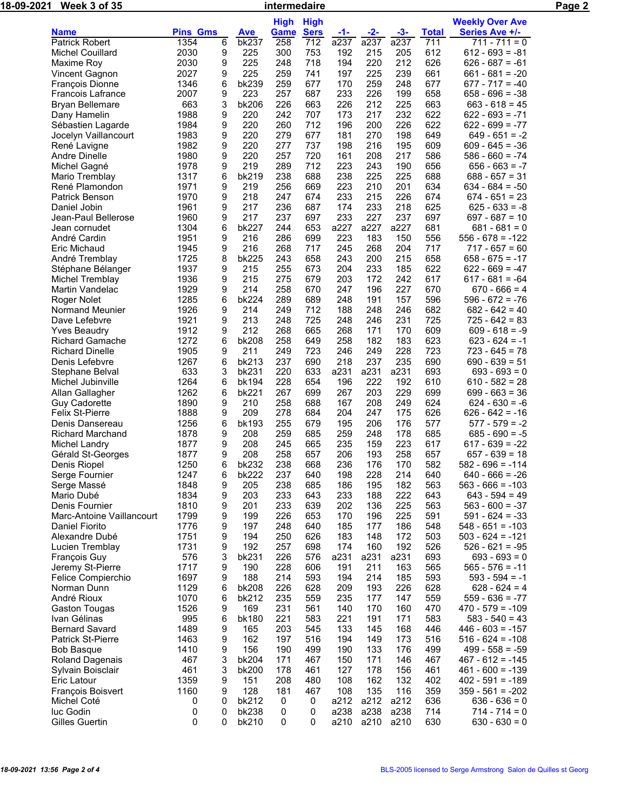| <u>18-09-</u> 2021 | Week 3 of 35                                     |                 |        |              | intermedaire |             |             |             |             |              |                                          | Page 2 |
|--------------------|--------------------------------------------------|-----------------|--------|--------------|--------------|-------------|-------------|-------------|-------------|--------------|------------------------------------------|--------|
|                    |                                                  |                 |        |              | <b>High</b>  | <b>High</b> |             |             |             |              | <b>Weekly Over Ave</b>                   |        |
|                    | <b>Name</b>                                      | <b>Pins Gms</b> |        | <b>Ave</b>   | <b>Game</b>  | <b>Sers</b> | <u>-1-</u>  | $-2-$       | $-3-$       | <b>Total</b> | Series Ave +/-                           |        |
|                    | <b>Patrick Robert</b>                            | 1354            | 6      | bk237        | 258          | 712         | a237        | a237        | a237        | 711          | 711 - 711 = 0                            |        |
|                    | <b>Michel Couillard</b>                          | 2030            | 9      | 225          | 300          | 753         | 192         | 215         | 205         | 612          | $612 - 693 = -81$                        |        |
|                    | Maxime Roy                                       | 2030            | 9      | 225          | 248          | 718         | 194         | 220         | 212         | 626          | $626 - 687 = -61$                        |        |
|                    | Vincent Gagnon                                   | 2027            | 9      | 225          | 259          | 741         | 197         | 225         | 239         | 661          | $661 - 681 = -20$                        |        |
|                    | François Dionne                                  | 1346<br>2007    | 6      | bk239<br>223 | 259<br>257   | 677         | 170<br>233  | 259<br>226  | 248<br>199  | 677<br>658   | $677 - 717 = -40$                        |        |
|                    | Francois Lafrance<br><b>Bryan Bellemare</b>      | 663             | 9<br>3 | bk206        | 226          | 687<br>663  | 226         | 212         | 225         | 663          | $658 - 696 = -38$<br>$663 - 618 = 45$    |        |
|                    | Dany Hamelin                                     | 1988            | 9      | 220          | 242          | 707         | 173         | 217         | 232         | 622          | $622 - 693 = -71$                        |        |
|                    | Sébastien Lagarde                                | 1984            | 9      | 220          | 260          | 712         | 196         | 200         | 226         | 622          | $622 - 699 = -77$                        |        |
|                    | Jocelyn Vaillancourt                             | 1983            | 9      | 220          | 279          | 677         | 181         | 270         | 198         | 649          | $649 - 651 = -2$                         |        |
|                    | René Lavigne                                     | 1982            | 9      | 220          | 277          | 737         | 198         | 216         | 195         | 609          | $609 - 645 = -36$                        |        |
|                    | Andre Dinelle                                    | 1980            | 9      | 220          | 257          | 720         | 161         | 208         | 217         | 586          | $586 - 660 = -74$                        |        |
|                    | Michel Gagné                                     | 1978            | 9      | 219          | 289          | 712         | 223         | 243         | 190         | 656          | $656 - 663 = -7$                         |        |
|                    | Mario Tremblay                                   | 1317            | 6      | bk219        | 238          | 688         | 238         | 225         | 225         | 688          | $688 - 657 = 31$                         |        |
|                    | René Plamondon                                   | 1971            | 9      | 219          | 256          | 669         | 223         | 210         | 201         | 634          | $634 - 684 = -50$                        |        |
|                    | Patrick Benson                                   | 1970            | 9      | 218          | 247          | 674         | 233         | 215         | 226         | 674          | $674 - 651 = 23$                         |        |
|                    | Daniel Jobin                                     | 1961            | 9      | 217          | 236          | 687         | 174         | 233         | 218         | 625          | $625 - 633 = -8$                         |        |
|                    | Jean-Paul Bellerose                              | 1960<br>1304    | 9      | 217<br>bk227 | 237<br>244   | 697<br>653  | 233<br>a227 | 227<br>a227 | 237<br>a227 | 697<br>681   | $697 - 687 = 10$<br>$681 - 681 = 0$      |        |
|                    | Jean cornudet<br>André Cardin                    | 1951            | 6<br>9 | 216          | 286          | 699         | 223         | 183         | 150         | 556          | $556 - 678 = -122$                       |        |
|                    | Eric Michaud                                     | 1945            | 9      | 216          | 268          | 717         | 245         | 268         | 204         | 717          | $717 - 657 = 60$                         |        |
|                    | André Tremblay                                   | 1725            | 8      | bk225        | 243          | 658         | 243         | 200         | 215         | 658          | $658 - 675 = -17$                        |        |
|                    | Stéphane Bélanger                                | 1937            | 9      | 215          | 255          | 673         | 204         | 233         | 185         | 622          | $622 - 669 = -47$                        |        |
|                    | Michel Tremblay                                  | 1936            | 9      | 215          | 275          | 679         | 203         | 172         | 242         | 617          | $617 - 681 = -64$                        |        |
|                    | Martin Vandelac                                  | 1929            | 9      | 214          | 258          | 670         | 247         | 196         | 227         | 670          | $670 - 666 = 4$                          |        |
|                    | Roger Nolet                                      | 1285            | 6      | bk224        | 289          | 689         | 248         | 191         | 157         | 596          | $596 - 672 = -76$                        |        |
|                    | Normand Meunier                                  | 1926            | 9      | 214          | 249          | 712         | 188         | 248         | 246         | 682          | $682 - 642 = 40$                         |        |
|                    | Dave Lefebvre                                    | 1921            | 9      | 213          | 248          | 725         | 248         | 246         | 231         | 725          | $725 - 642 = 83$                         |        |
|                    | <b>Yves Beaudry</b>                              | 1912            | 9      | 212          | 268          | 665         | 268         | 171         | 170         | 609          | $609 - 618 = -9$                         |        |
|                    | <b>Richard Gamache</b><br><b>Richard Dinelle</b> | 1272<br>1905    | 6      | bk208<br>211 | 258<br>249   | 649<br>723  | 258         | 182<br>249  | 183<br>228  | 623<br>723   | $623 - 624 = -1$<br>$723 - 645 = 78$     |        |
|                    | Denis Lefebvre                                   | 1267            | 9<br>6 | bk213        | 237          | 690         | 246<br>218  | 237         | 235         | 690          | $690 - 639 = 51$                         |        |
|                    | Stephane Belval                                  | 633             | 3      | bk231        | 220          | 633         | a231        | a231        | a231        | 693          | $693 - 693 = 0$                          |        |
|                    | Michel Jubinville                                | 1264            | 6      | bk194        | 228          | 654         | 196         | 222         | 192         | 610          | $610 - 582 = 28$                         |        |
|                    | Allan Gallagher                                  | 1262            | 6      | bk221        | 267          | 699         | 267         | 203         | 229         | 699          | $699 - 663 = 36$                         |        |
|                    | <b>Guy Cadorette</b>                             | 1890            | 9      | 210          | 258          | 688         | 167         | 208         | 249         | 624          | $624 - 630 = -6$                         |        |
|                    | <b>Felix St-Pierre</b>                           | 1888            | 9      | 209          | 278          | 684         | 204         | 247         | 175         | 626          | $626 - 642 = -16$                        |        |
|                    | Denis Dansereau                                  | 1256            | 6      | bk193        | 255          | 679         | 195         | 206         | 176         | 577          | $577 - 579 = -2$                         |        |
|                    | <b>Richard Marchand</b>                          | 1878            | 9      | 208          | 259          | 685         | 259         | 248         | 178         | 685          | $685 - 690 = -5$                         |        |
|                    | Michel Landry                                    | 1877            | 9<br>9 | 208          | 245          | 665         | 235         | 159         | 223         | 617          | $617 - 639 = -22$                        |        |
|                    | Gérald St-Georges<br>Denis Riopel                | 1877<br>1250    | 6      | 208<br>bk232 | 258<br>238   | 657<br>668  | 206<br>236  | 193<br>176  | 258<br>170  | 657<br>582   | $657 - 639 = 18$<br>$582 - 696 = -114$   |        |
|                    | Serge Fournier                                   | 1247            | 6      | bk222        | 237          | 640         | 198         | 228         | 214         | 640          | $640 - 666 = -26$                        |        |
|                    | Serge Massé                                      | 1848            | 9      | 205          | 238          | 685         | 186         | 195         | 182         | 563          | $563 - 666 = -103$                       |        |
|                    | Mario Dubé                                       | 1834            | 9      | 203          | 233          | 643         | 233         | 188         | 222         | 643          | $643 - 594 = 49$                         |        |
|                    | Denis Fournier                                   | 1810            | 9      | 201          | 233          | 639         | 202         | 136         | 225         | 563          | $563 - 600 = -37$                        |        |
|                    | Marc-Antoine Vaillancourt                        | 1799            | 9      | 199          | 226          | 653         | 170         | 196         | 225         | 591          | $591 - 624 = -33$                        |        |
|                    | Daniel Fiorito                                   | 1776            | 9      | 197          | 248          | 640         | 185         | 177         | 186         | 548          | $548 - 651 = -103$                       |        |
|                    | Alexandre Dubé                                   | 1751            | 9      | 194          | 250          | 626         | 183         | 148         | 172         | 503          | $503 - 624 = -121$                       |        |
|                    | Lucien Tremblay                                  | 1731            | 9      | 192          | 257          | 698         | 174         | 160         | 192         | 526          | $526 - 621 = -95$                        |        |
|                    | François Guy                                     | 576<br>1717     | 3      | bk231        | 226<br>228   | 576         | a231        | a231        | a231        | 693<br>565   | $693 - 693 = 0$                          |        |
|                    | Jeremy St-Pierre<br>Felice Compierchio           | 1697            | 9<br>9 | 190<br>188   | 214          | 606<br>593  | 191<br>194  | 211<br>214  | 163<br>185  | 593          | $565 - 576 = -11$<br>$593 - 594 = -1$    |        |
|                    | Norman Dunn                                      | 1129            | 6      | bk208        | 226          | 628         | 209         | 193         | 226         | 628          | $628 - 624 = 4$                          |        |
|                    | André Rioux                                      | 1070            | 6      | bk212        | 235          | 559         | 235         | 177         | 147         | 559          | $559 - 636 = -77$                        |        |
|                    | Gaston Tougas                                    | 1526            | 9      | 169          | 231          | 561         | 140         | 170         | 160         | 470          | $470 - 579 = -109$                       |        |
|                    | Ivan Gélinas                                     | 995             | 6      | bk180        | 221          | 583         | 221         | 191         | 171         | 583          | $583 - 540 = 43$                         |        |
|                    | <b>Bernard Savard</b>                            | 1489            | 9      | 165          | 203          | 545         | 133         | 145         | 168         | 446          | $446 - 603 = -157$                       |        |
|                    | Patrick St-Pierre                                | 1463            | 9      | 162          | 197          | 516         | 194         | 149         | 173         | 516          | $516 - 624 = -108$                       |        |
|                    | <b>Bob Basque</b>                                | 1410            | 9      | 156          | 190          | 499         | 190         | 133         | 176         | 499          | $499 - 558 = -59$                        |        |
|                    | <b>Roland Dagenais</b>                           | 467             | 3      | bk204        | 171          | 467         | 150         | 171         | 146         | 467          | $467 - 612 = -145$                       |        |
|                    | Sylvain Boisclair<br>Eric Latour                 | 461<br>1359     | 3<br>9 | bk200<br>151 | 178<br>208   | 461<br>480  | 127<br>108  | 178<br>162  | 156<br>132  | 461<br>402   | $461 - 600 = -139$                       |        |
|                    | François Boisvert                                | 1160            | 9      | 128          | 181          | 467         | 108         | 135         | 116         | 359          | $402 - 591 = -189$<br>$359 - 561 = -202$ |        |
|                    | Michel Coté                                      | 0               | 0      | bk212        | 0            | 0           | a212        | a212        | a212        | 636          | $636 - 636 = 0$                          |        |
|                    | luc Godin                                        | 0               | 0      | bk238        | 0            | 0           | a238        | a238        | a238        | 714          | $714 - 714 = 0$                          |        |
|                    | Gilles Guertin                                   | 0               | 0      | bk210        | 0            | 0           | a210        | a210 a210   |             | 630          | $630 - 630 = 0$                          |        |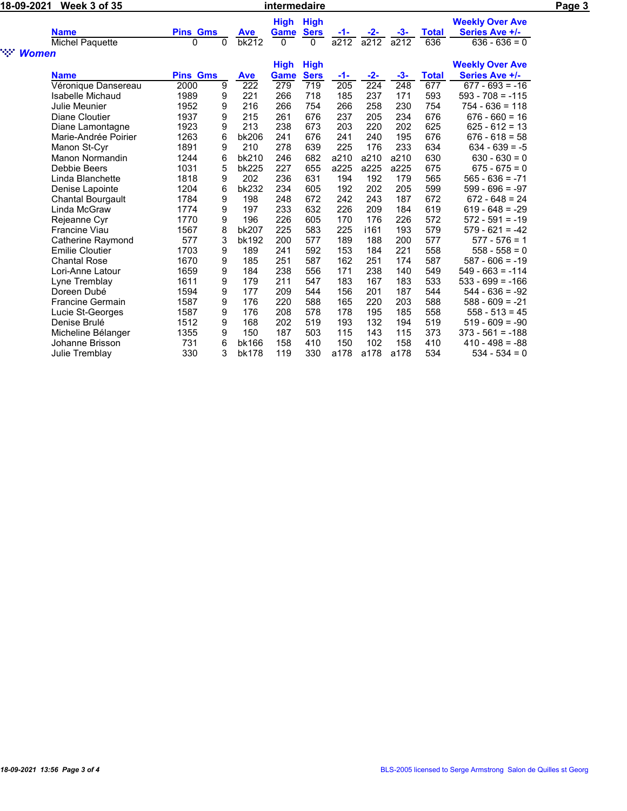| 18-09-2021                         | <b>Week 3 of 35</b>      |                 |          |                  | intermedaire |             |       |                  |       |              |                        | Page 3 |
|------------------------------------|--------------------------|-----------------|----------|------------------|--------------|-------------|-------|------------------|-------|--------------|------------------------|--------|
|                                    |                          |                 |          |                  | <b>High</b>  | <b>High</b> |       |                  |       |              | <b>Weekly Over Ave</b> |        |
|                                    | <b>Name</b>              | <b>Pins Gms</b> |          | <b>Ave</b>       | Game         | <b>Sers</b> | -1-   | -2-              | -3-   | <b>Total</b> | Series Ave +/-         |        |
|                                    | Michel Paquette          | 0               | $\Omega$ | bk212            | $\Omega$     | 0           | a212  | a212             | a212  | 636          | $636 - 636 = 0$        |        |
| ngan.<br>Kabupatèn<br><b>Women</b> |                          |                 |          |                  |              |             |       |                  |       |              |                        |        |
|                                    |                          |                 |          |                  | <b>High</b>  | <b>High</b> |       |                  |       |              | <b>Weekly Over Ave</b> |        |
|                                    | <b>Name</b>              | <b>Pins Gms</b> |          | <b>Ave</b>       | <b>Game</b>  | <b>Sers</b> | $-1-$ | $-2-$            | $-3-$ | <b>Total</b> | Series Ave +/-         |        |
|                                    | Véronique Dansereau      | 2000            | 9        | $\overline{222}$ | 279          | 719         | 205   | $\overline{224}$ | 248   | 677          | $677 - 693 = -16$      |        |
|                                    | Isabelle Michaud         | 1989            | 9        | 221              | 266          | 718         | 185   | 237              | 171   | 593          | $593 - 708 = -115$     |        |
|                                    | Julie Meunier            | 1952            | 9        | 216              | 266          | 754         | 266   | 258              | 230   | 754          | $754 - 636 = 118$      |        |
|                                    | Diane Cloutier           | 1937            | 9        | 215              | 261          | 676         | 237   | 205              | 234   | 676          | $676 - 660 = 16$       |        |
|                                    | Diane Lamontagne         | 1923            | 9        | 213              | 238          | 673         | 203   | 220              | 202   | 625          | $625 - 612 = 13$       |        |
|                                    | Marie-Andrée Poirier     | 1263            | 6        | bk206            | 241          | 676         | 241   | 240              | 195   | 676          | $676 - 618 = 58$       |        |
|                                    | Manon St-Cyr             | 1891            | 9        | 210              | 278          | 639         | 225   | 176              | 233   | 634          | $634 - 639 = -5$       |        |
|                                    | <b>Manon Normandin</b>   | 1244            | 6        | bk210            | 246          | 682         | a210  | a210             | a210  | 630          | $630 - 630 = 0$        |        |
|                                    | Debbie Beers             | 1031            | 5        | bk225            | 227          | 655         | a225  | a225             | a225  | 675          | $675 - 675 = 0$        |        |
|                                    | Linda Blanchette         | 1818            | 9        | 202              | 236          | 631         | 194   | 192              | 179   | 565          | $565 - 636 = -71$      |        |
|                                    | Denise Lapointe          | 1204            | 6        | bk232            | 234          | 605         | 192   | 202              | 205   | 599          | $599 - 696 = -97$      |        |
|                                    | <b>Chantal Bourgault</b> | 1784            | 9        | 198              | 248          | 672         | 242   | 243              | 187   | 672          | $672 - 648 = 24$       |        |
|                                    | Linda McGraw             | 1774            | 9        | 197              | 233          | 632         | 226   | 209              | 184   | 619          | $619 - 648 = -29$      |        |
|                                    | Rejeanne Cyr             | 1770            | 9        | 196              | 226          | 605         | 170   | 176              | 226   | 572          | $572 - 591 = -19$      |        |
|                                    | <b>Francine Viau</b>     | 1567            | 8        | <b>bk207</b>     | 225          | 583         | 225   | i161             | 193   | 579          | $579 - 621 = -42$      |        |
|                                    | Catherine Raymond        | 577             | 3        | bk192            | 200          | 577         | 189   | 188              | 200   | 577          | $577 - 576 = 1$        |        |
|                                    | <b>Emilie Cloutier</b>   | 1703            | 9        | 189              | 241          | 592         | 153   | 184              | 221   | 558          | $558 - 558 = 0$        |        |
|                                    | <b>Chantal Rose</b>      | 1670            | 9        | 185              | 251          | 587         | 162   | 251              | 174   | 587          | $587 - 606 = -19$      |        |
|                                    | Lori-Anne Latour         | 1659            | 9        | 184              | 238          | 556         | 171   | 238              | 140   | 549          | $549 - 663 = -114$     |        |
|                                    | Lyne Tremblay            | 1611            | 9        | 179              | 211          | 547         | 183   | 167              | 183   | 533          | $533 - 699 = -166$     |        |
|                                    | Doreen Dubé              | 1594            | 9        | 177              | 209          | 544         | 156   | 201              | 187   | 544          | $544 - 636 = -92$      |        |
|                                    | <b>Francine Germain</b>  | 1587            | 9        | 176              | 220          | 588         | 165   | 220              | 203   | 588          | $588 - 609 = -21$      |        |
|                                    | Lucie St-Georges         | 1587            | 9        | 176              | 208          | 578         | 178   | 195              | 185   | 558          | $558 - 513 = 45$       |        |
|                                    | Denise Brulé             | 1512            | 9        | 168              | 202          | 519         | 193   | 132              | 194   | 519          | $519 - 609 = -90$      |        |
|                                    | Micheline Bélanger       | 1355            | 9        | 150              | 187          | 503         | 115   | 143              | 115   | 373          | $373 - 561 = -188$     |        |
|                                    | Johanne Brisson          | 731             | 6        | bk166            | 158          | 410         | 150   | 102              | 158   | 410          | $410 - 498 = -88$      |        |
|                                    | Julie Tremblay           | 330             | 3        | <b>bk178</b>     | 119          | 330         | a178  | a178             | a178  | 534          | $534 - 534 = 0$        |        |